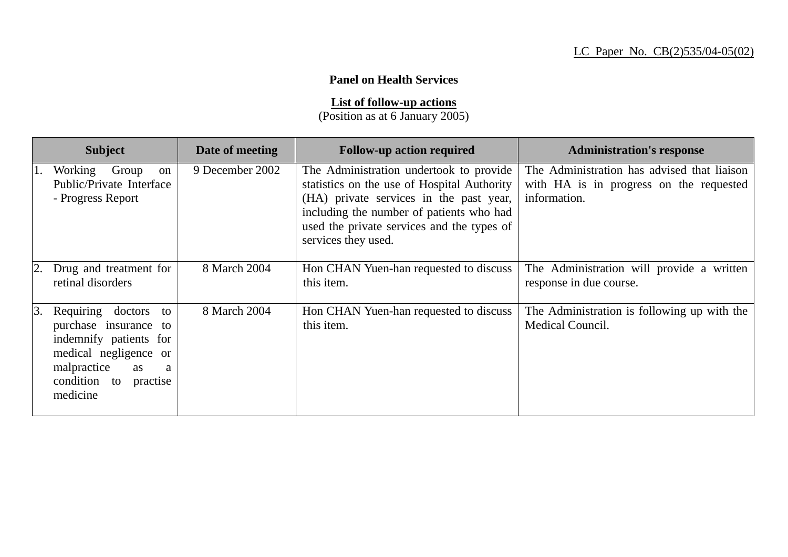## **Panel on Health Services**

**List of follow-up actions**

(Position as at 6 January 2005)

|                  | <b>Subject</b>                                                                                                                                                        | Date of meeting | <b>Follow-up action required</b>                                                                                                                                                                                                                   | <b>Administration's response</b>                                                                       |
|------------------|-----------------------------------------------------------------------------------------------------------------------------------------------------------------------|-----------------|----------------------------------------------------------------------------------------------------------------------------------------------------------------------------------------------------------------------------------------------------|--------------------------------------------------------------------------------------------------------|
| П.               | Working<br>Group<br><sub>on</sub><br>Public/Private Interface<br>- Progress Report                                                                                    | 9 December 2002 | The Administration undertook to provide<br>statistics on the use of Hospital Authority<br>(HA) private services in the past year,<br>including the number of patients who had<br>used the private services and the types of<br>services they used. | The Administration has advised that liaison<br>with HA is in progress on the requested<br>information. |
|                  | 2. Drug and treatment for<br>retinal disorders                                                                                                                        | 8 March 2004    | Hon CHAN Yuen-han requested to discuss<br>this item.                                                                                                                                                                                               | The Administration will provide a written<br>response in due course.                                   |
| $\vert 3. \vert$ | Requiring doctors<br>to<br>purchase insurance to<br>indemnify patients for<br>medical negligence or<br>malpractice<br>as<br>a<br>condition to<br>practise<br>medicine | 8 March 2004    | Hon CHAN Yuen-han requested to discuss<br>this item.                                                                                                                                                                                               | The Administration is following up with the<br>Medical Council.                                        |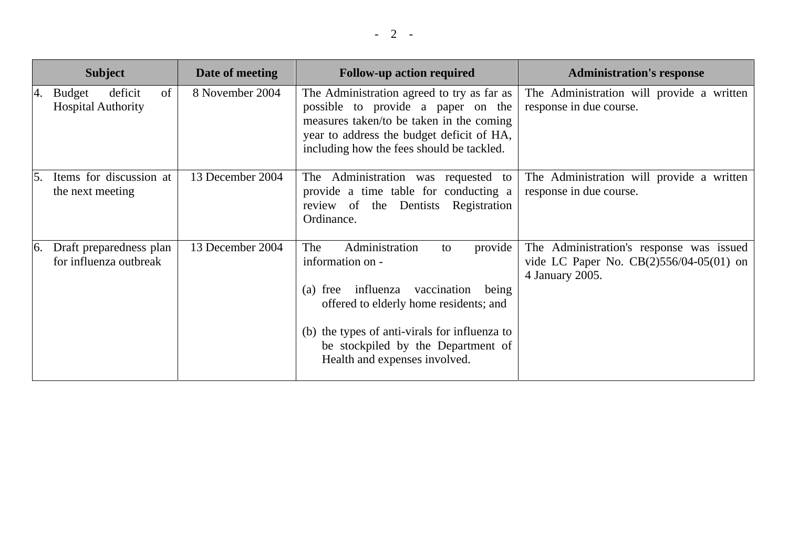| <b>Subject</b>                                                    | Date of meeting  | <b>Follow-up action required</b>                                                                                                                                                                                                                                                | <b>Administration's response</b>                                                                         |
|-------------------------------------------------------------------|------------------|---------------------------------------------------------------------------------------------------------------------------------------------------------------------------------------------------------------------------------------------------------------------------------|----------------------------------------------------------------------------------------------------------|
| of<br>deficit<br>4. Budget<br><b>Hospital Authority</b>           | 8 November 2004  | The Administration agreed to try as far as<br>possible to provide a paper on the<br>measures taken/to be taken in the coming<br>year to address the budget deficit of HA,<br>including how the fees should be tackled.                                                          | The Administration will provide a written<br>response in due course.                                     |
| Items for discussion at<br>the next meeting                       | 13 December 2004 | The Administration was requested to<br>provide a time table for conducting a<br>review of<br>the Dentists Registration<br>Ordinance.                                                                                                                                            | The Administration will provide a written<br>response in due course.                                     |
| Draft preparedness plan<br>$\mathbf{6}$<br>for influenza outbreak | 13 December 2004 | Administration<br>The<br>provide<br>to<br>information on -<br>influenza<br>vaccination<br>$(a)$ free<br>being<br>offered to elderly home residents; and<br>(b) the types of anti-virals for influenza to<br>be stockpiled by the Department of<br>Health and expenses involved. | The Administration's response was issued<br>vide LC Paper No. $CB(2)556/04-05(01)$ on<br>4 January 2005. |